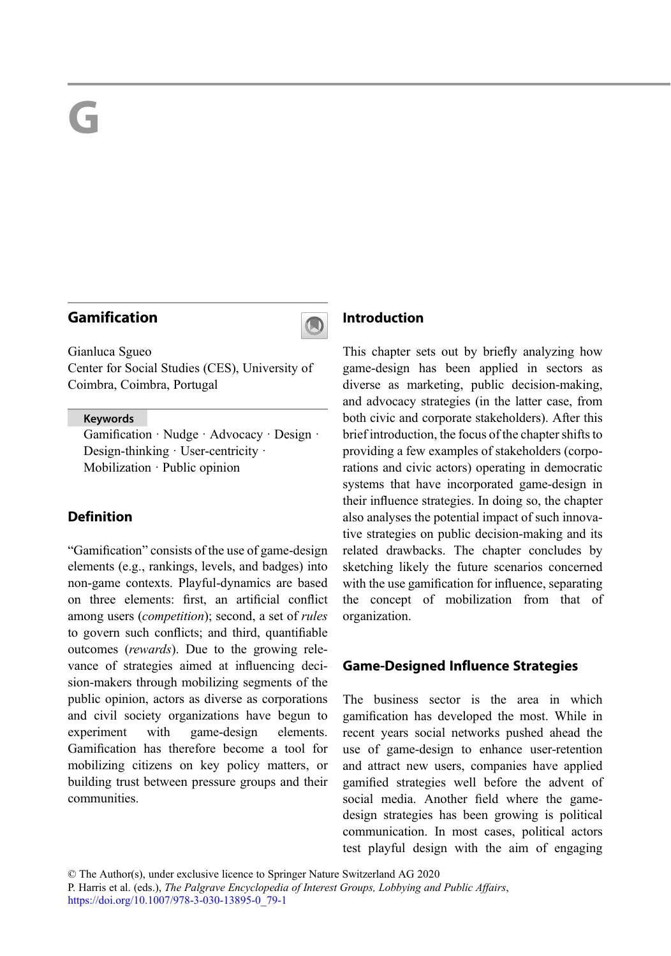# Gamification



Gianluca Sgueo Center for Social Studies (CES), University of Coimbra, Coimbra, Portugal

#### Keywords

Gamification · Nudge · Advocacy · Design · Design-thinking · User-centricity · Mobilization · Public opinion

## Definition

"Gamification" consists of the use of game-design elements (e.g., rankings, levels, and badges) into non-game contexts. Playful-dynamics are based on three elements: first, an artificial conflict among users (competition); second, a set of rules to govern such conflicts; and third, quantifiable outcomes (rewards). Due to the growing relevance of strategies aimed at influencing decision-makers through mobilizing segments of the public opinion, actors as diverse as corporations and civil society organizations have begun to experiment with game-design elements. Gamification has therefore become a tool for mobilizing citizens on key policy matters, or building trust between pressure groups and their communities.

#### Introduction

This chapter sets out by briefly analyzing how game-design has been applied in sectors as diverse as marketing, public decision-making, and advocacy strategies (in the latter case, from both civic and corporate stakeholders). After this brief introduction, the focus of the chapter shifts to providing a few examples of stakeholders (corporations and civic actors) operating in democratic systems that have incorporated game-design in their influence strategies. In doing so, the chapter also analyses the potential impact of such innovative strategies on public decision-making and its related drawbacks. The chapter concludes by sketching likely the future scenarios concerned with the use gamification for influence, separating the concept of mobilization from that of organization.

### Game-Designed Influence Strategies

The business sector is the area in which gamification has developed the most. While in recent years social networks pushed ahead the use of game-design to enhance user-retention and attract new users, companies have applied gamified strategies well before the advent of social media. Another field where the gamedesign strategies has been growing is political communication. In most cases, political actors test playful design with the aim of engaging

© The Author(s), under exclusive licence to Springer Nature Switzerland AG 2020

P. Harris et al. (eds.), The Palgrave Encyclopedia of Interest Groups, Lobbying and Public Affairs, [https://doi.org/10.1007/978-3-030-13895-0\\_79-1](https://doi.org/10.1007/978-3-030-13895-0_79-1)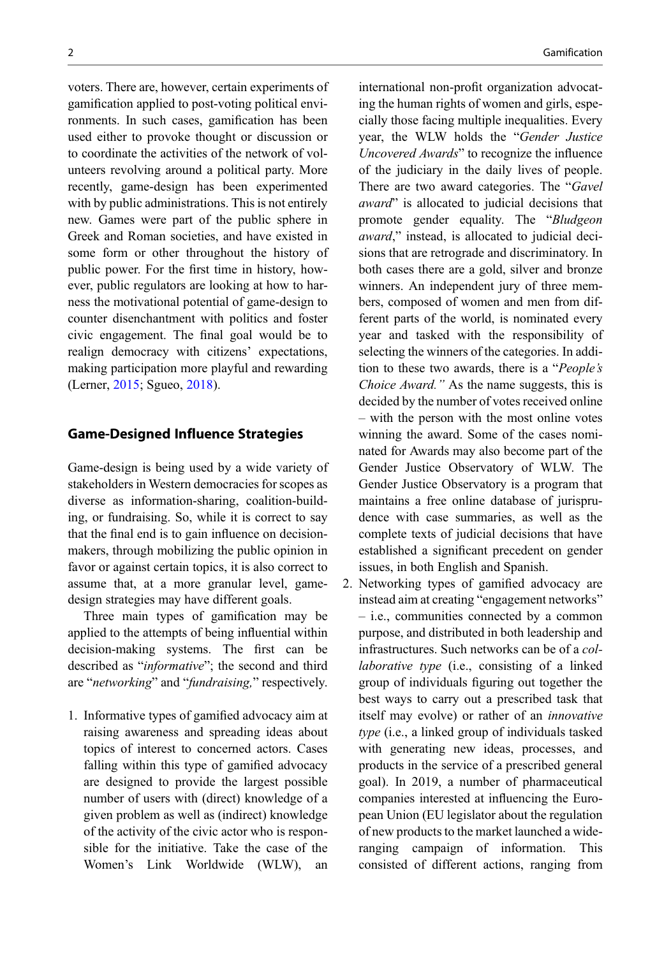voters. There are, however, certain experiments of gamification applied to post-voting political environments. In such cases, gamification has been used either to provoke thought or discussion or to coordinate the activities of the network of volunteers revolving around a political party. More recently, game-design has been experimented with by public administrations. This is not entirely new. Games were part of the public sphere in Greek and Roman societies, and have existed in some form or other throughout the history of public power. For the first time in history, however, public regulators are looking at how to harness the motivational potential of game-design to counter disenchantment with politics and foster civic engagement. The final goal would be to realign democracy with citizens' expectations, making participation more playful and rewarding (Lerner, [2015](#page-3-0); Sgueo, [2018](#page-3-0)).

#### Game-Designed Influence Strategies

Game-design is being used by a wide variety of stakeholders in Western democracies for scopes as diverse as information-sharing, coalition-building, or fundraising. So, while it is correct to say that the final end is to gain influence on decisionmakers, through mobilizing the public opinion in favor or against certain topics, it is also correct to assume that, at a more granular level, gamedesign strategies may have different goals.

Three main types of gamification may be applied to the attempts of being influential within decision-making systems. The first can be described as "informative"; the second and third are "networking" and "fundraising," respectively.

1. Informative types of gamified advocacy aim at raising awareness and spreading ideas about topics of interest to concerned actors. Cases falling within this type of gamified advocacy are designed to provide the largest possible number of users with (direct) knowledge of a given problem as well as (indirect) knowledge of the activity of the civic actor who is responsible for the initiative. Take the case of the Women's Link Worldwide (WLW), an international non-profit organization advocating the human rights of women and girls, especially those facing multiple inequalities. Every year, the WLW holds the "Gender Justice Uncovered Awards" to recognize the influence of the judiciary in the daily lives of people. There are two award categories. The "Gavel award" is allocated to judicial decisions that promote gender equality. The "Bludgeon award," instead, is allocated to judicial decisions that are retrograde and discriminatory. In both cases there are a gold, silver and bronze winners. An independent jury of three members, composed of women and men from different parts of the world, is nominated every year and tasked with the responsibility of selecting the winners of the categories. In addition to these two awards, there is a "People's Choice Award." As the name suggests, this is decided by the number of votes received online – with the person with the most online votes winning the award. Some of the cases nominated for Awards may also become part of the Gender Justice Observatory of WLW. The Gender Justice Observatory is a program that maintains a free online database of jurisprudence with case summaries, as well as the complete texts of judicial decisions that have established a significant precedent on gender issues, in both English and Spanish.

2. Networking types of gamified advocacy are instead aim at creating "engagement networks" – i.e., communities connected by a common purpose, and distributed in both leadership and infrastructures. Such networks can be of a collaborative type (i.e., consisting of a linked group of individuals figuring out together the best ways to carry out a prescribed task that itself may evolve) or rather of an innovative type (i.e., a linked group of individuals tasked with generating new ideas, processes, and products in the service of a prescribed general goal). In 2019, a number of pharmaceutical companies interested at influencing the European Union (EU legislator about the regulation of new products to the market launched a wideranging campaign of information. This consisted of different actions, ranging from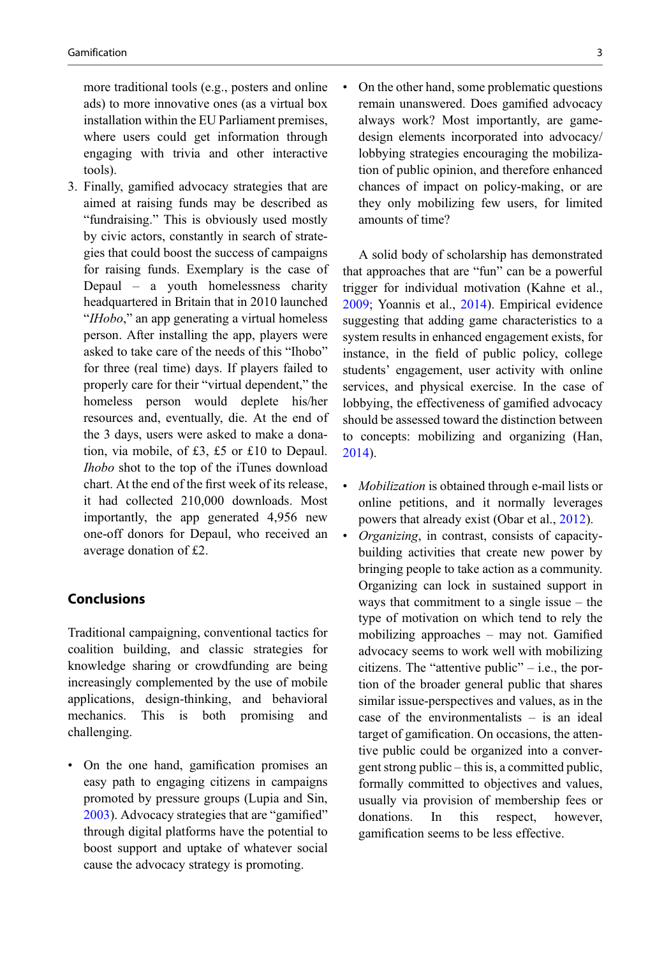more traditional tools (e.g., posters and online ads) to more innovative ones (as a virtual box installation within the EU Parliament premises, where users could get information through engaging with trivia and other interactive tools).

3. Finally, gamified advocacy strategies that are aimed at raising funds may be described as "fundraising." This is obviously used mostly by civic actors, constantly in search of strategies that could boost the success of campaigns for raising funds. Exemplary is the case of Depaul – a youth homelessness charity headquartered in Britain that in 2010 launched "*IHobo*," an app generating a virtual homeless person. After installing the app, players were asked to take care of the needs of this "Ihobo" for three (real time) days. If players failed to properly care for their "virtual dependent," the homeless person would deplete his/her resources and, eventually, die. At the end of the 3 days, users were asked to make a donation, via mobile, of £3, £5 or £10 to Depaul. Ihobo shot to the top of the iTunes download chart. At the end of the first week of its release, it had collected 210,000 downloads. Most importantly, the app generated 4,956 new one-off donors for Depaul, who received an average donation of £2.

#### Conclusions

Traditional campaigning, conventional tactics for coalition building, and classic strategies for knowledge sharing or crowdfunding are being increasingly complemented by the use of mobile applications, design-thinking, and behavioral mechanics. This is both promising and challenging.

• On the one hand, gamification promises an easy path to engaging citizens in campaigns promoted by pressure groups (Lupia and Sin, [2003\)](#page-3-0). Advocacy strategies that are "gamified" through digital platforms have the potential to boost support and uptake of whatever social cause the advocacy strategy is promoting.

• On the other hand, some problematic questions remain unanswered. Does gamified advocacy always work? Most importantly, are gamedesign elements incorporated into advocacy/ lobbying strategies encouraging the mobilization of public opinion, and therefore enhanced chances of impact on policy-making, or are they only mobilizing few users, for limited amounts of time?

A solid body of scholarship has demonstrated that approaches that are "fun" can be a powerful trigger for individual motivation (Kahne et al., [2009;](#page-3-0) Yoannis et al., [2014\)](#page-3-0). Empirical evidence suggesting that adding game characteristics to a system results in enhanced engagement exists, for instance, in the field of public policy, college students' engagement, user activity with online services, and physical exercise. In the case of lobbying, the effectiveness of gamified advocacy should be assessed toward the distinction between to concepts: mobilizing and organizing (Han, [2014\)](#page-3-0).

- Mobilization is obtained through e-mail lists or online petitions, and it normally leverages powers that already exist (Obar et al., [2012](#page-3-0)).
- Organizing, in contrast, consists of capacitybuilding activities that create new power by bringing people to take action as a community. Organizing can lock in sustained support in ways that commitment to a single issue – the type of motivation on which tend to rely the mobilizing approaches – may not. Gamified advocacy seems to work well with mobilizing citizens. The "attentive public"  $-$  i.e., the portion of the broader general public that shares similar issue-perspectives and values, as in the case of the environmentalists – is an ideal target of gamification. On occasions, the attentive public could be organized into a convergent strong public – this is, a committed public, formally committed to objectives and values, usually via provision of membership fees or donations. In this respect, however, gamification seems to be less effective.